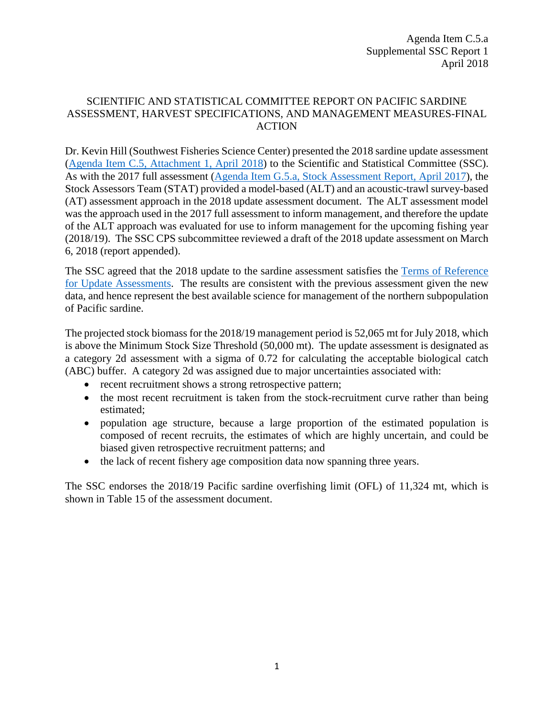# SCIENTIFIC AND STATISTICAL COMMITTEE REPORT ON PACIFIC SARDINE ASSESSMENT, HARVEST SPECIFICATIONS, AND MANAGEMENT MEASURES-FINAL ACTION

Dr. Kevin Hill (Southwest Fisheries Science Center) presented the 2018 sardine update assessment (Agenda Item C.5, [Attachment 1, April 2018\)](https://www.pcouncil.org/wp-content/uploads/2018/03/C5_Att_1_FullElectricOnly_Sardine_Assessment_Apr2018BB.pdf) to the Scientific and Statistical Committee (SSC). As with the 2017 full assessment [\(Agenda Item G.5.a, Stock Assessment Report, April 2017\)](http://www.pcouncil.org/wp-content/uploads/2017/03/G5a_Stock_Assessment_Rpt_Full_ElectricOnly_Apr2017BB.pdf), the Stock Assessors Team (STAT) provided a model-based (ALT) and an acoustic-trawl survey-based (AT) assessment approach in the 2018 update assessment document. The ALT assessment model was the approach used in the 2017 full assessment to inform management, and therefore the update of the ALT approach was evaluated for use to inform management for the upcoming fishing year (2018/19). The SSC CPS subcommittee reviewed a draft of the 2018 update assessment on March 6, 2018 (report appended).

The SSC agreed that the 2018 update to the sardine assessment satisfies the [Terms of Reference](http://www.pcouncil.org/wp-content/uploads/2017/01/Stock_Assessment_ToR_2017-18.pdf)  [for Update Assessments.](http://www.pcouncil.org/wp-content/uploads/2017/01/Stock_Assessment_ToR_2017-18.pdf) The results are consistent with the previous assessment given the new data, and hence represent the best available science for management of the northern subpopulation of Pacific sardine.

The projected stock biomass for the 2018/19 management period is 52,065 mt for July 2018, which is above the Minimum Stock Size Threshold (50,000 mt). The update assessment is designated as a category 2d assessment with a sigma of 0.72 for calculating the acceptable biological catch (ABC) buffer. A category 2d was assigned due to major uncertainties associated with:

- recent recruitment shows a strong retrospective pattern;
- the most recent recruitment is taken from the stock-recruitment curve rather than being estimated;
- population age structure, because a large proportion of the estimated population is composed of recent recruits, the estimates of which are highly uncertain, and could be biased given retrospective recruitment patterns; and
- the lack of recent fishery age composition data now spanning three years.

The SSC endorses the 2018/19 Pacific sardine overfishing limit (OFL) of 11,324 mt, which is shown in Table 15 of the assessment document.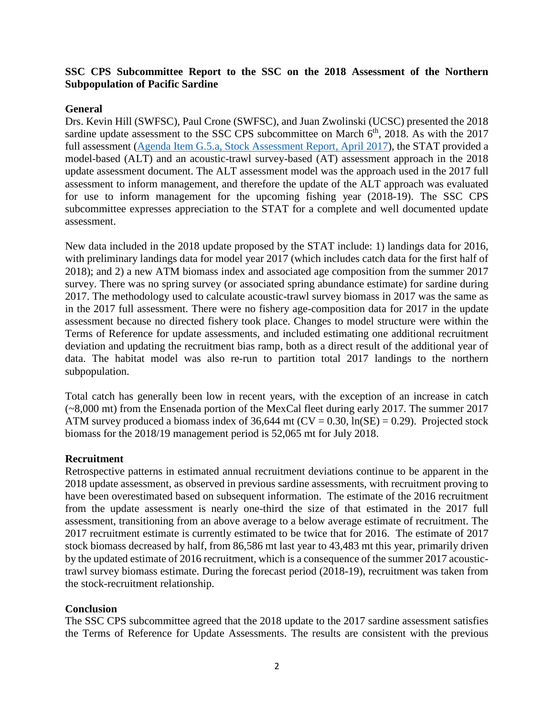## **SSC CPS Subcommittee Report to the SSC on the 2018 Assessment of the Northern Subpopulation of Pacific Sardine**

## **General**

Drs. Kevin Hill (SWFSC), Paul Crone (SWFSC), and Juan Zwolinski (UCSC) presented the 2018 sardine update assessment to the SSC CPS subcommittee on March  $6<sup>th</sup>$ , 2018. As with the 2017 full assessment [\(Agenda Item G.5.a, Stock Assessment Report, April 2017\)](http://www.pcouncil.org/wp-content/uploads/2017/03/G5a_Stock_Assessment_Rpt_Full_ElectricOnly_Apr2017BB.pdf), the STAT provided a model-based (ALT) and an acoustic-trawl survey-based (AT) assessment approach in the 2018 update assessment document. The ALT assessment model was the approach used in the 2017 full assessment to inform management, and therefore the update of the ALT approach was evaluated for use to inform management for the upcoming fishing year (2018-19). The SSC CPS subcommittee expresses appreciation to the STAT for a complete and well documented update assessment.

New data included in the 2018 update proposed by the STAT include: 1) landings data for 2016, with preliminary landings data for model year 2017 (which includes catch data for the first half of 2018); and 2) a new ATM biomass index and associated age composition from the summer 2017 survey. There was no spring survey (or associated spring abundance estimate) for sardine during 2017. The methodology used to calculate acoustic-trawl survey biomass in 2017 was the same as in the 2017 full assessment. There were no fishery age-composition data for 2017 in the update assessment because no directed fishery took place. Changes to model structure were within the Terms of Reference for update assessments, and included estimating one additional recruitment deviation and updating the recruitment bias ramp, both as a direct result of the additional year of data. The habitat model was also re-run to partition total 2017 landings to the northern subpopulation.

Total catch has generally been low in recent years, with the exception of an increase in catch (~8,000 mt) from the Ensenada portion of the MexCal fleet during early 2017. The summer 2017 ATM survey produced a biomass index of 36,644 mt ( $CV = 0.30$ ,  $ln(SE) = 0.29$ ). Projected stock biomass for the 2018/19 management period is 52,065 mt for July 2018.

### **Recruitment**

Retrospective patterns in estimated annual recruitment deviations continue to be apparent in the 2018 update assessment, as observed in previous sardine assessments, with recruitment proving to have been overestimated based on subsequent information. The estimate of the 2016 recruitment from the update assessment is nearly one-third the size of that estimated in the 2017 full assessment, transitioning from an above average to a below average estimate of recruitment. The 2017 recruitment estimate is currently estimated to be twice that for 2016. The estimate of 2017 stock biomass decreased by half, from 86,586 mt last year to 43,483 mt this year, primarily driven by the updated estimate of 2016 recruitment, which is a consequence of the summer 2017 acoustictrawl survey biomass estimate. During the forecast period (2018-19), recruitment was taken from the stock-recruitment relationship.

### **Conclusion**

The SSC CPS subcommittee agreed that the 2018 update to the 2017 sardine assessment satisfies the Terms of Reference for Update Assessments. The results are consistent with the previous